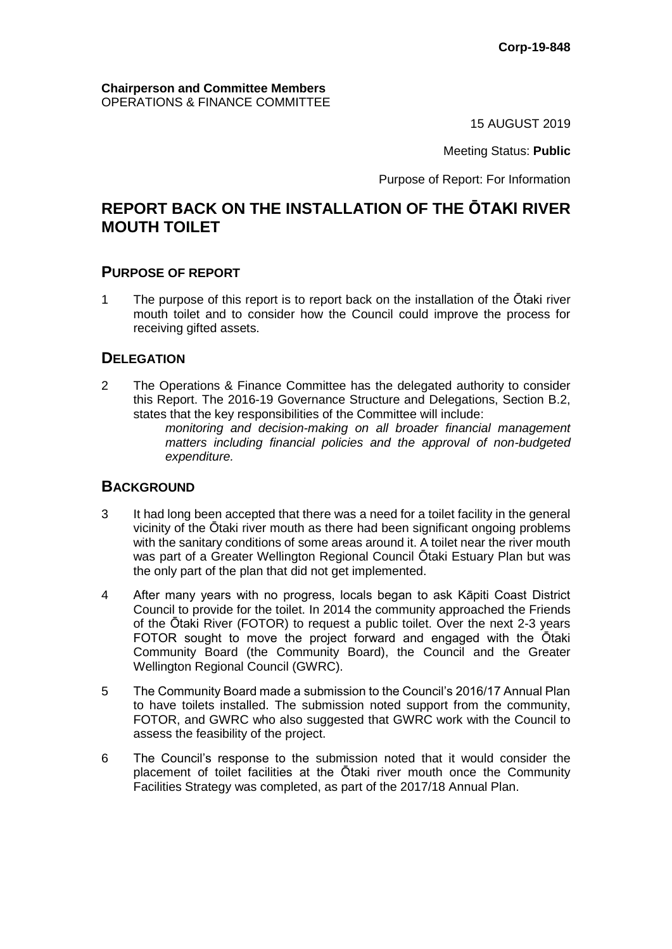### **Chairperson and Committee Members** OPERATIONS & FINANCE COMMITTEE

15 AUGUST 2019

### Meeting Status: **Public**

Purpose of Report: For Information

# **REPORT BACK ON THE INSTALLATION OF THE ŌTAKI RIVER MOUTH TOILET**

### **PURPOSE OF REPORT**

1 The purpose of this report is to report back on the installation of the Ōtaki river mouth toilet and to consider how the Council could improve the process for receiving gifted assets.

### **DELEGATION**

2 The Operations & Finance Committee has the delegated authority to consider this Report. The 2016-19 Governance Structure and Delegations, Section B.2, states that the key responsibilities of the Committee will include:

*monitoring and decision-making on all broader financial management matters including financial policies and the approval of non-budgeted expenditure.*

### **BACKGROUND**

- 3 It had long been accepted that there was a need for a toilet facility in the general vicinity of the Ōtaki river mouth as there had been significant ongoing problems with the sanitary conditions of some areas around it. A toilet near the river mouth was part of a Greater Wellington Regional Council Ōtaki Estuary Plan but was the only part of the plan that did not get implemented.
- 4 After many years with no progress, locals began to ask Kāpiti Coast District Council to provide for the toilet. In 2014 the community approached the Friends of the Ōtaki River (FOTOR) to request a public toilet. Over the next 2-3 years FOTOR sought to move the project forward and engaged with the Ōtaki Community Board (the Community Board), the Council and the Greater Wellington Regional Council (GWRC).
- 5 The Community Board made a submission to the Council's 2016/17 Annual Plan to have toilets installed. The submission noted support from the community, FOTOR, and GWRC who also suggested that GWRC work with the Council to assess the feasibility of the project.
- 6 The Council's response to the submission noted that it would consider the placement of toilet facilities at the Ōtaki river mouth once the Community Facilities Strategy was completed, as part of the 2017/18 Annual Plan.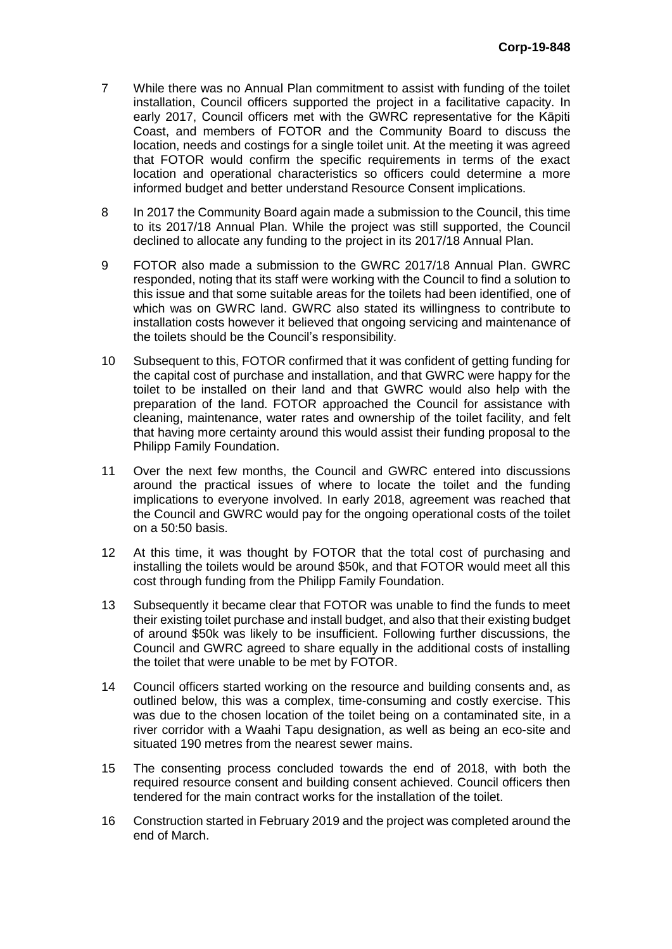- 7 While there was no Annual Plan commitment to assist with funding of the toilet installation, Council officers supported the project in a facilitative capacity. In early 2017, Council officers met with the GWRC representative for the Kāpiti Coast, and members of FOTOR and the Community Board to discuss the location, needs and costings for a single toilet unit. At the meeting it was agreed that FOTOR would confirm the specific requirements in terms of the exact location and operational characteristics so officers could determine a more informed budget and better understand Resource Consent implications.
- 8 In 2017 the Community Board again made a submission to the Council, this time to its 2017/18 Annual Plan. While the project was still supported, the Council declined to allocate any funding to the project in its 2017/18 Annual Plan.
- 9 FOTOR also made a submission to the GWRC 2017/18 Annual Plan. GWRC responded, noting that its staff were working with the Council to find a solution to this issue and that some suitable areas for the toilets had been identified, one of which was on GWRC land. GWRC also stated its willingness to contribute to installation costs however it believed that ongoing servicing and maintenance of the toilets should be the Council's responsibility.
- 10 Subsequent to this, FOTOR confirmed that it was confident of getting funding for the capital cost of purchase and installation, and that GWRC were happy for the toilet to be installed on their land and that GWRC would also help with the preparation of the land. FOTOR approached the Council for assistance with cleaning, maintenance, water rates and ownership of the toilet facility, and felt that having more certainty around this would assist their funding proposal to the Philipp Family Foundation.
- 11 Over the next few months, the Council and GWRC entered into discussions around the practical issues of where to locate the toilet and the funding implications to everyone involved. In early 2018, agreement was reached that the Council and GWRC would pay for the ongoing operational costs of the toilet on a 50:50 basis.
- 12 At this time, it was thought by FOTOR that the total cost of purchasing and installing the toilets would be around \$50k, and that FOTOR would meet all this cost through funding from the Philipp Family Foundation.
- 13 Subsequently it became clear that FOTOR was unable to find the funds to meet their existing toilet purchase and install budget, and also that their existing budget of around \$50k was likely to be insufficient. Following further discussions, the Council and GWRC agreed to share equally in the additional costs of installing the toilet that were unable to be met by FOTOR.
- 14 Council officers started working on the resource and building consents and, as outlined below, this was a complex, time-consuming and costly exercise. This was due to the chosen location of the toilet being on a contaminated site, in a river corridor with a Waahi Tapu designation, as well as being an eco-site and situated 190 metres from the nearest sewer mains.
- 15 The consenting process concluded towards the end of 2018, with both the required resource consent and building consent achieved. Council officers then tendered for the main contract works for the installation of the toilet.
- 16 Construction started in February 2019 and the project was completed around the end of March.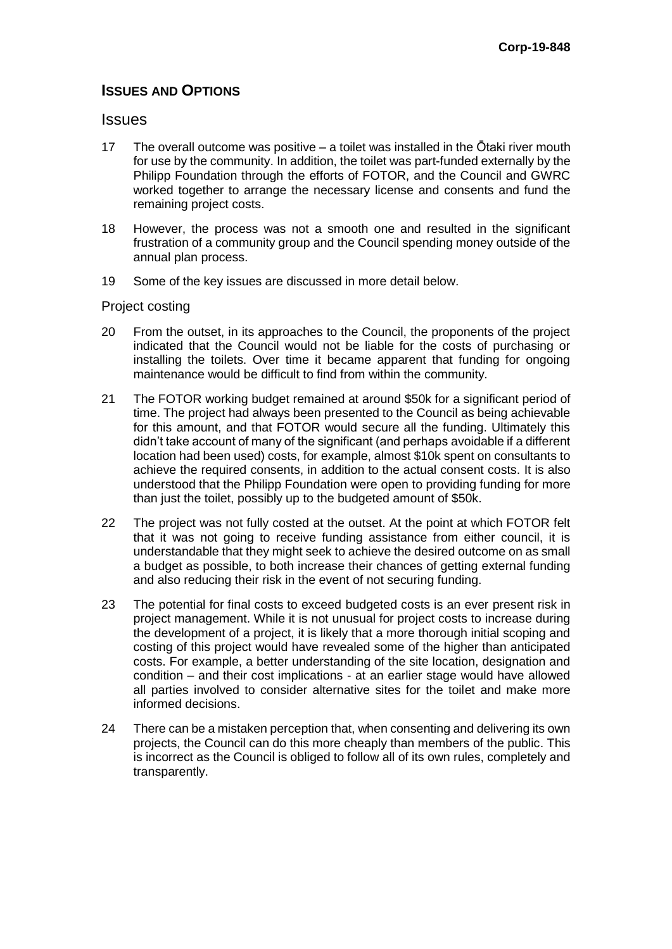## **ISSUES AND OPTIONS**

### **Issues**

- 17 The overall outcome was positive a toilet was installed in the Ōtaki river mouth for use by the community. In addition, the toilet was part-funded externally by the Philipp Foundation through the efforts of FOTOR, and the Council and GWRC worked together to arrange the necessary license and consents and fund the remaining project costs.
- 18 However, the process was not a smooth one and resulted in the significant frustration of a community group and the Council spending money outside of the annual plan process.
- 19 Some of the key issues are discussed in more detail below.

### Project costing

- 20 From the outset, in its approaches to the Council, the proponents of the project indicated that the Council would not be liable for the costs of purchasing or installing the toilets. Over time it became apparent that funding for ongoing maintenance would be difficult to find from within the community.
- 21 The FOTOR working budget remained at around \$50k for a significant period of time. The project had always been presented to the Council as being achievable for this amount, and that FOTOR would secure all the funding. Ultimately this didn't take account of many of the significant (and perhaps avoidable if a different location had been used) costs, for example, almost \$10k spent on consultants to achieve the required consents, in addition to the actual consent costs. It is also understood that the Philipp Foundation were open to providing funding for more than just the toilet, possibly up to the budgeted amount of \$50k.
- 22 The project was not fully costed at the outset. At the point at which FOTOR felt that it was not going to receive funding assistance from either council, it is understandable that they might seek to achieve the desired outcome on as small a budget as possible, to both increase their chances of getting external funding and also reducing their risk in the event of not securing funding.
- 23 The potential for final costs to exceed budgeted costs is an ever present risk in project management. While it is not unusual for project costs to increase during the development of a project, it is likely that a more thorough initial scoping and costing of this project would have revealed some of the higher than anticipated costs. For example, a better understanding of the site location, designation and condition – and their cost implications - at an earlier stage would have allowed all parties involved to consider alternative sites for the toilet and make more informed decisions.
- 24 There can be a mistaken perception that, when consenting and delivering its own projects, the Council can do this more cheaply than members of the public. This is incorrect as the Council is obliged to follow all of its own rules, completely and transparently.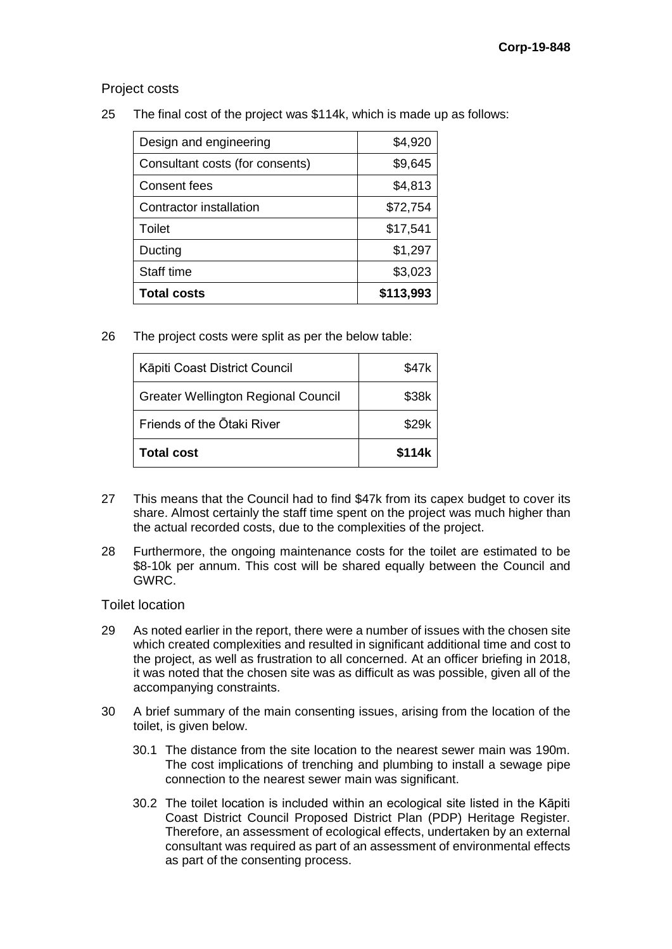Project costs

25 The final cost of the project was \$114k, which is made up as follows:

| <b>Total costs</b>              | \$113,993 |
|---------------------------------|-----------|
| Staff time                      | \$3,023   |
| Ducting                         | \$1,297   |
| Toilet                          | \$17,541  |
| Contractor installation         | \$72,754  |
| <b>Consent fees</b>             | \$4,813   |
| Consultant costs (for consents) | \$9,645   |
| Design and engineering          | \$4,920   |

26 The project costs were split as per the below table:

| Kāpiti Coast District Council              | \$47k  |
|--------------------------------------------|--------|
| <b>Greater Wellington Regional Council</b> | \$38k  |
| Friends of the Otaki River                 | \$29k  |
| <b>Total cost</b>                          | \$114k |

- 27 This means that the Council had to find \$47k from its capex budget to cover its share. Almost certainly the staff time spent on the project was much higher than the actual recorded costs, due to the complexities of the project.
- 28 Furthermore, the ongoing maintenance costs for the toilet are estimated to be \$8-10k per annum. This cost will be shared equally between the Council and GWRC.

### Toilet location

- 29 As noted earlier in the report, there were a number of issues with the chosen site which created complexities and resulted in significant additional time and cost to the project, as well as frustration to all concerned. At an officer briefing in 2018, it was noted that the chosen site was as difficult as was possible, given all of the accompanying constraints.
- 30 A brief summary of the main consenting issues, arising from the location of the toilet, is given below.
	- 30.1 The distance from the site location to the nearest sewer main was 190m. The cost implications of trenching and plumbing to install a sewage pipe connection to the nearest sewer main was significant.
	- 30.2 The toilet location is included within an ecological site listed in the Kāpiti Coast District Council Proposed District Plan (PDP) Heritage Register. Therefore, an assessment of ecological effects, undertaken by an external consultant was required as part of an assessment of environmental effects as part of the consenting process.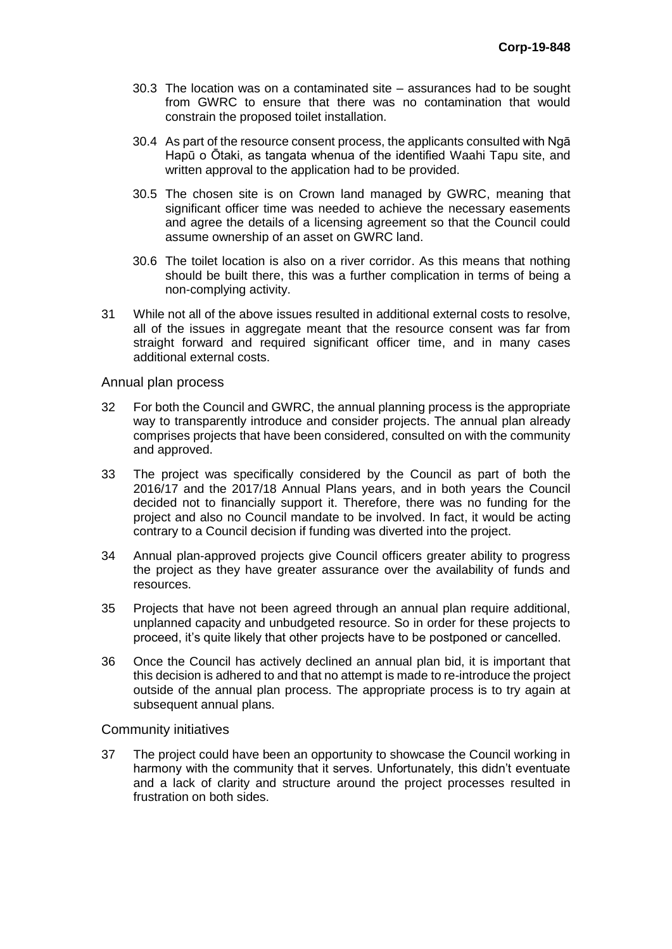- 30.3 The location was on a contaminated site assurances had to be sought from GWRC to ensure that there was no contamination that would constrain the proposed toilet installation.
- 30.4 As part of the resource consent process, the applicants consulted with Ngā Hapū o Ōtaki, as tangata whenua of the identified Waahi Tapu site, and written approval to the application had to be provided.
- 30.5 The chosen site is on Crown land managed by GWRC, meaning that significant officer time was needed to achieve the necessary easements and agree the details of a licensing agreement so that the Council could assume ownership of an asset on GWRC land.
- 30.6 The toilet location is also on a river corridor. As this means that nothing should be built there, this was a further complication in terms of being a non-complying activity.
- 31 While not all of the above issues resulted in additional external costs to resolve, all of the issues in aggregate meant that the resource consent was far from straight forward and required significant officer time, and in many cases additional external costs.

#### Annual plan process

- 32 For both the Council and GWRC, the annual planning process is the appropriate way to transparently introduce and consider projects. The annual plan already comprises projects that have been considered, consulted on with the community and approved.
- 33 The project was specifically considered by the Council as part of both the 2016/17 and the 2017/18 Annual Plans years, and in both years the Council decided not to financially support it. Therefore, there was no funding for the project and also no Council mandate to be involved. In fact, it would be acting contrary to a Council decision if funding was diverted into the project.
- 34 Annual plan-approved projects give Council officers greater ability to progress the project as they have greater assurance over the availability of funds and resources.
- 35 Projects that have not been agreed through an annual plan require additional, unplanned capacity and unbudgeted resource. So in order for these projects to proceed, it's quite likely that other projects have to be postponed or cancelled.
- 36 Once the Council has actively declined an annual plan bid, it is important that this decision is adhered to and that no attempt is made to re-introduce the project outside of the annual plan process. The appropriate process is to try again at subsequent annual plans.

#### Community initiatives

37 The project could have been an opportunity to showcase the Council working in harmony with the community that it serves. Unfortunately, this didn't eventuate and a lack of clarity and structure around the project processes resulted in frustration on both sides.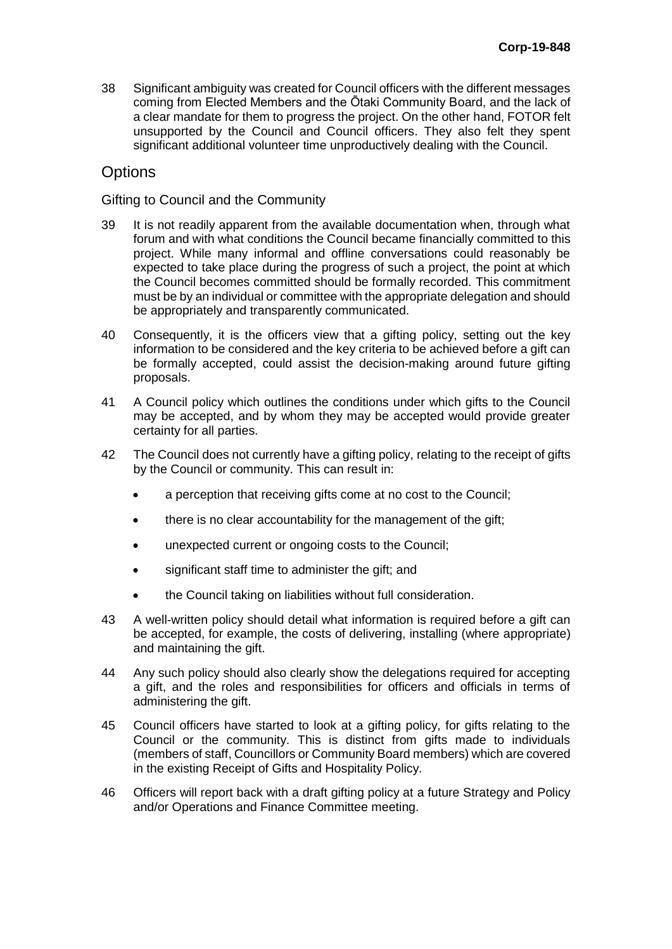38 Significant ambiguity was created for Council officers with the different messages coming from Elected Members and the Ōtaki Community Board, and the lack of a clear mandate for them to progress the project. On the other hand, FOTOR felt unsupported by the Council and Council officers. They also felt they spent significant additional volunteer time unproductively dealing with the Council.

# **Options**

### Gifting to Council and the Community

- 39 It is not readily apparent from the available documentation when, through what forum and with what conditions the Council became financially committed to this project. While many informal and offline conversations could reasonably be expected to take place during the progress of such a project, the point at which the Council becomes committed should be formally recorded. This commitment must be by an individual or committee with the appropriate delegation and should be appropriately and transparently communicated.
- 40 Consequently, it is the officers view that a gifting policy, setting out the key information to be considered and the key criteria to be achieved before a gift can be formally accepted, could assist the decision-making around future gifting proposals.
- 41 A Council policy which outlines the conditions under which gifts to the Council may be accepted, and by whom they may be accepted would provide greater certainty for all parties.
- 42 The Council does not currently have a gifting policy, relating to the receipt of gifts by the Council or community. This can result in:
	- a perception that receiving gifts come at no cost to the Council;
	- there is no clear accountability for the management of the gift;
	- unexpected current or ongoing costs to the Council;
	- significant staff time to administer the gift; and
	- the Council taking on liabilities without full consideration.
- 43 A well-written policy should detail what information is required before a gift can be accepted, for example, the costs of delivering, installing (where appropriate) and maintaining the gift.
- 44 Any such policy should also clearly show the delegations required for accepting a gift, and the roles and responsibilities for officers and officials in terms of administering the gift.
- 45 Council officers have started to look at a gifting policy, for gifts relating to the Council or the community. This is distinct from gifts made to individuals (members of staff, Councillors or Community Board members) which are covered in the existing Receipt of Gifts and Hospitality Policy.
- 46 Officers will report back with a draft gifting policy at a future Strategy and Policy and/or Operations and Finance Committee meeting.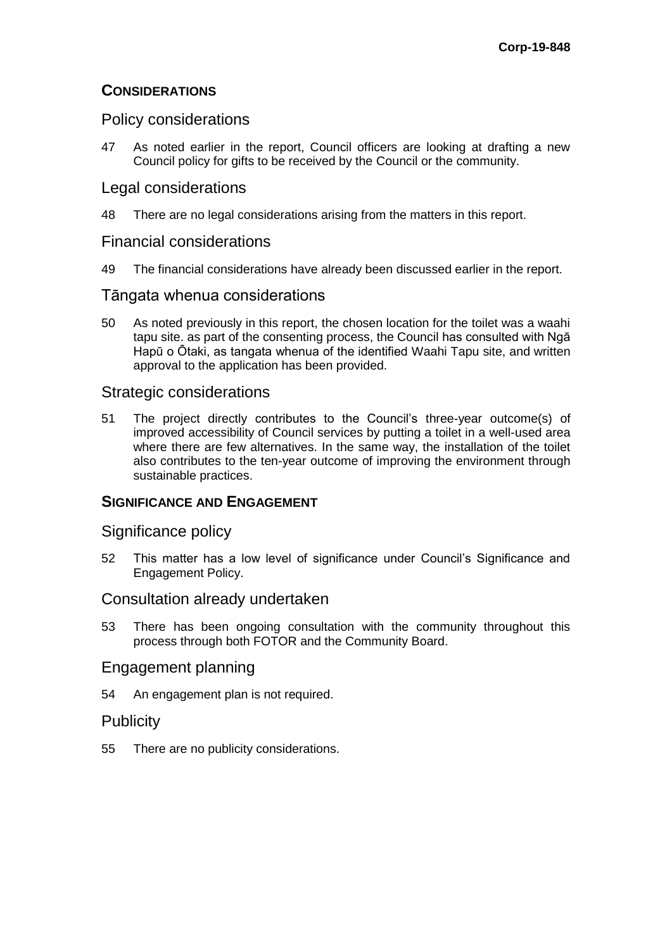## **CONSIDERATIONS**

## Policy considerations

47 As noted earlier in the report, Council officers are looking at drafting a new Council policy for gifts to be received by the Council or the community.

## Legal considerations

48 There are no legal considerations arising from the matters in this report.

### Financial considerations

49 The financial considerations have already been discussed earlier in the report.

### Tāngata whenua considerations

50 As noted previously in this report, the chosen location for the toilet was a waahi tapu site. as part of the consenting process, the Council has consulted with Ngā Hapū o Ōtaki, as tangata whenua of the identified Waahi Tapu site, and written approval to the application has been provided.

### Strategic considerations

51 The project directly contributes to the Council's three-year outcome(s) of improved accessibility of Council services by putting a toilet in a well-used area where there are few alternatives. In the same way, the installation of the toilet also contributes to the ten-year outcome of improving the environment through sustainable practices.

### **SIGNIFICANCE AND ENGAGEMENT**

### Significance policy

52 This matter has a low level of significance under Council's Significance and Engagement Policy.

### Consultation already undertaken

53 There has been ongoing consultation with the community throughout this process through both FOTOR and the Community Board.

### Engagement planning

54 An engagement plan is not required.

### **Publicity**

55 There are no publicity considerations.